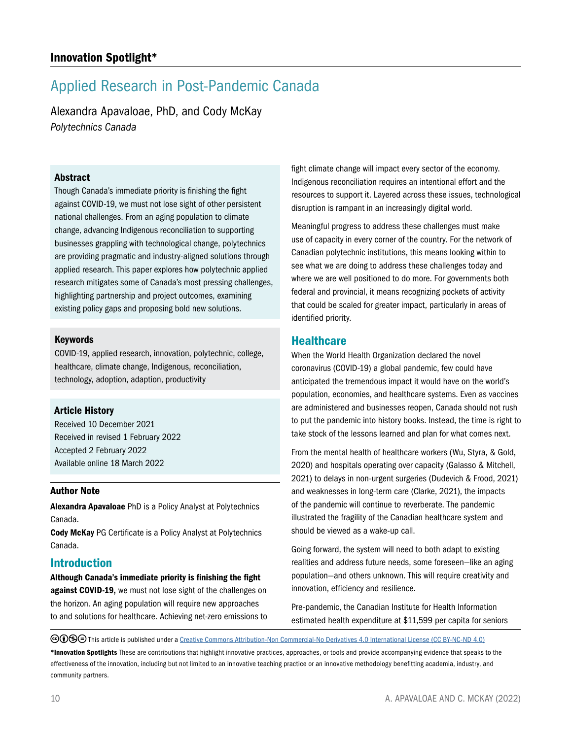# Applied Research in Post-Pandemic Canada

Alexandra Apavaloae, PhD, and Cody McKay *Polytechnics Canada*

### Abstract

Though Canada's immediate priority is finishing the fight against COVID-19, we must not lose sight of other persistent national challenges. From an aging population to climate change, advancing Indigenous reconciliation to supporting businesses grappling with technological change, polytechnics are providing pragmatic and industry-aligned solutions through applied research. This paper explores how polytechnic applied research mitigates some of Canada's most pressing challenges, highlighting partnership and project outcomes, examining existing policy gaps and proposing bold new solutions.

#### Keywords

COVID-19, applied research, innovation, polytechnic, college, healthcare, climate change, Indigenous, reconciliation, technology, adoption, adaption, productivity

## Article History

Received 10 December 2021 Received in revised 1 February 2022 Accepted 2 February 2022 Available online 18 March 2022

#### Author Note

Alexandra Apavaloae PhD is a Policy Analyst at Polytechnics Canada.

Cody McKay PG Certificate is a Policy Analyst at Polytechnics Canada.

## Introduction

Although Canada's immediate priority is finishing the fight against COVID-19, we must not lose sight of the challenges on the horizon. An aging population will require new approaches to and solutions for healthcare. Achieving net-zero emissions to fight climate change will impact every sector of the economy. Indigenous reconciliation requires an intentional effort and the resources to support it. Layered across these issues, technological disruption is rampant in an increasingly digital world.

Meaningful progress to address these challenges must make use of capacity in every corner of the country. For the network of Canadian polytechnic institutions, this means looking within to see what we are doing to address these challenges today and where we are well positioned to do more. For governments both federal and provincial, it means recognizing pockets of activity that could be scaled for greater impact, particularly in areas of identified priority.

## **Healthcare**

When the World Health Organization declared the novel coronavirus (COVID-19) a global pandemic, few could have anticipated the tremendous impact it would have on the world's population, economies, and healthcare systems. Even as vaccines are administered and businesses reopen, Canada should not rush to put the pandemic into history books. Instead, the time is right to take stock of the lessons learned and plan for what comes next.

From the mental health of healthcare workers (Wu, Styra, & Gold, 2020) and hospitals operating over capacity (Galasso & Mitchell, 2021) to delays in non-urgent surgeries (Dudevich & Frood, 2021) and weaknesses in long-term care (Clarke, 2021), the impacts of the pandemic will continue to reverberate. The pandemic illustrated the fragility of the Canadian healthcare system and should be viewed as a wake-up call.

Going forward, the system will need to both adapt to existing realities and address future needs, some foreseen—like an aging population—and others unknown. This will require creativity and innovation, efficiency and resilience.

Pre-pandemic, the Canadian Institute for Health Information estimated health expenditure at \$11,599 per capita for seniors

©⊙®© This article is published under a [Creative Commons Attribution-Non Commercial-No Derivatives 4.0 International License \(CC BY-NC-ND 4.0\)](https://creativecommons.org/licenses/by-nc-nd/4.0/)

\*Innovation Spotlights These are contributions that highlight innovative practices, approaches, or tools and provide accompanying evidence that speaks to the effectiveness of the innovation, including but not limited to an innovative teaching practice or an innovative methodology benefitting academia, industry, and community partners.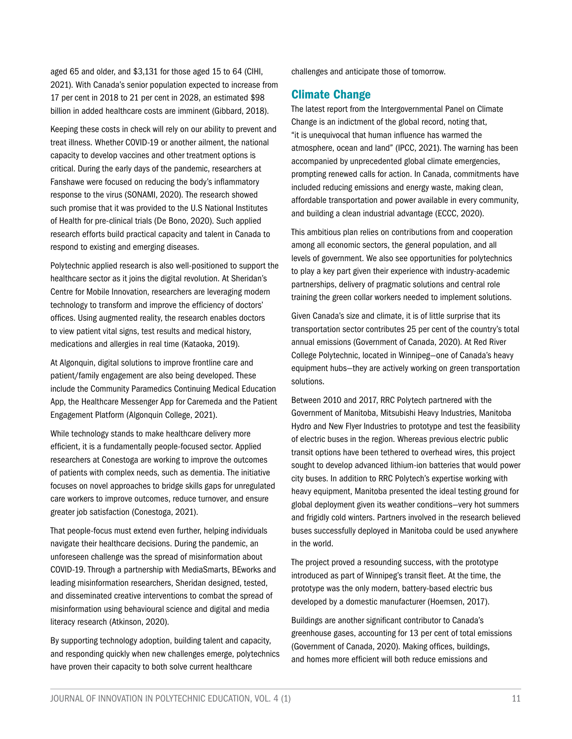aged 65 and older, and \$3,131 for those aged 15 to 64 (CIHI, 2021). With Canada's senior population expected to increase from 17 per cent in 2018 to 21 per cent in 2028, an estimated \$98 billion in added healthcare costs are imminent (Gibbard, 2018).

Keeping these costs in check will rely on our ability to prevent and treat illness. Whether COVID-19 or another ailment, the national capacity to develop vaccines and other treatment options is critical. During the early days of the pandemic, researchers at Fanshawe were focused on reducing the body's inflammatory response to the virus (SONAMI, 2020). The research showed such promise that it was provided to the U.S National Institutes of Health for pre-clinical trials (De Bono, 2020). Such applied research efforts build practical capacity and talent in Canada to respond to existing and emerging diseases.

Polytechnic applied research is also well-positioned to support the healthcare sector as it joins the digital revolution. At Sheridan's Centre for Mobile Innovation, researchers are leveraging modern technology to transform and improve the efficiency of doctors' offices. Using augmented reality, the research enables doctors to view patient vital signs, test results and medical history, medications and allergies in real time (Kataoka, 2019).

At Algonquin, digital solutions to improve frontline care and patient/family engagement are also being developed. These include the Community Paramedics Continuing Medical Education App, the Healthcare Messenger App for Caremeda and the Patient Engagement Platform (Algonquin College, 2021).

While technology stands to make healthcare delivery more efficient, it is a fundamentally people-focused sector. Applied researchers at Conestoga are working to improve the outcomes of patients with complex needs, such as dementia. The initiative focuses on novel approaches to bridge skills gaps for unregulated care workers to improve outcomes, reduce turnover, and ensure greater job satisfaction (Conestoga, 2021).

That people-focus must extend even further, helping individuals navigate their healthcare decisions. During the pandemic, an unforeseen challenge was the spread of misinformation about COVID-19. Through a partnership with MediaSmarts, BEworks and leading misinformation researchers, Sheridan designed, tested, and disseminated creative interventions to combat the spread of misinformation using behavioural science and digital and media literacy research (Atkinson, 2020).

By supporting technology adoption, building talent and capacity, and responding quickly when new challenges emerge, polytechnics have proven their capacity to both solve current healthcare

challenges and anticipate those of tomorrow.

## Climate Change

The latest report from the Intergovernmental Panel on Climate Change is an indictment of the global record, noting that, "it is unequivocal that human influence has warmed the atmosphere, ocean and land" (IPCC, 2021). The warning has been accompanied by unprecedented global climate emergencies, prompting renewed calls for action. In Canada, commitments have included reducing emissions and energy waste, making clean, affordable transportation and power available in every community, and building a clean industrial advantage (ECCC, 2020).

This ambitious plan relies on contributions from and cooperation among all economic sectors, the general population, and all levels of government. We also see opportunities for polytechnics to play a key part given their experience with industry-academic partnerships, delivery of pragmatic solutions and central role training the green collar workers needed to implement solutions.

Given Canada's size and climate, it is of little surprise that its transportation sector contributes 25 per cent of the country's total annual emissions (Government of Canada, 2020). At Red River College Polytechnic, located in Winnipeg—one of Canada's heavy equipment hubs—they are actively working on green transportation solutions.

Between 2010 and 2017, RRC Polytech partnered with the Government of Manitoba, Mitsubishi Heavy Industries, Manitoba Hydro and New Flyer Industries to prototype and test the feasibility of electric buses in the region. Whereas previous electric public transit options have been tethered to overhead wires, this project sought to develop advanced lithium-ion batteries that would power city buses. In addition to RRC Polytech's expertise working with heavy equipment, Manitoba presented the ideal testing ground for global deployment given its weather conditions—very hot summers and frigidly cold winters. Partners involved in the research believed buses successfully deployed in Manitoba could be used anywhere in the world.

The project proved a resounding success, with the prototype introduced as part of Winnipeg's transit fleet. At the time, the prototype was the only modern, battery-based electric bus developed by a domestic manufacturer (Hoemsen, 2017).

Buildings are another significant contributor to Canada's greenhouse gases, accounting for 13 per cent of total emissions (Government of Canada, 2020). Making offices, buildings, and homes more efficient will both reduce emissions and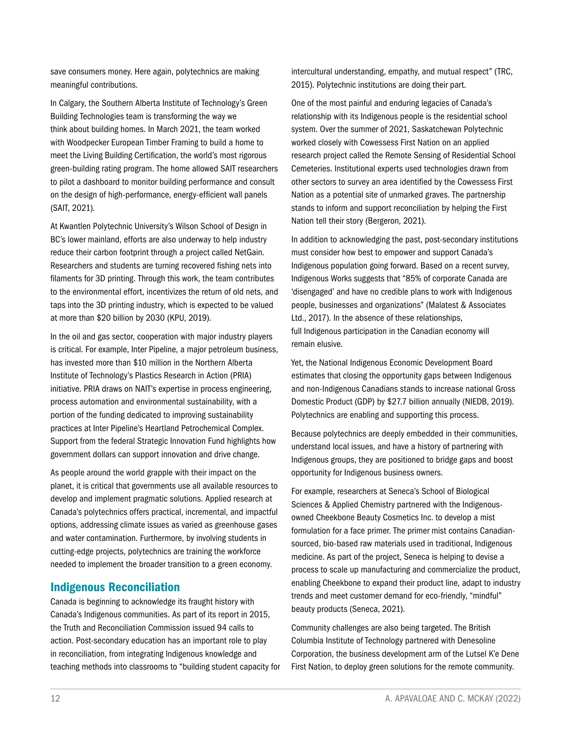save consumers money. Here again, polytechnics are making meaningful contributions.

In Calgary, the Southern Alberta Institute of Technology's Green Building Technologies team is transforming the way we think about building homes. In March 2021, the team worked with Woodpecker European Timber Framing to build a home to meet the Living Building Certification, the world's most rigorous green-building rating program. The home allowed SAIT researchers to pilot a dashboard to monitor building performance and consult on the design of high-performance, energy-efficient wall panels (SAIT, 2021).

At Kwantlen Polytechnic University's Wilson School of Design in BC's lower mainland, efforts are also underway to help industry reduce their carbon footprint through a project called NetGain. Researchers and students are turning recovered fishing nets into filaments for 3D printing. Through this work, the team contributes to the environmental effort, incentivizes the return of old nets, and taps into the 3D printing industry, which is expected to be valued at more than \$20 billion by 2030 (KPU, 2019).

In the oil and gas sector, cooperation with major industry players is critical. For example, Inter Pipeline, a major petroleum business, has invested more than \$10 million in the Northern Alberta Institute of Technology's Plastics Research in Action (PRIA) initiative. PRIA draws on NAIT's expertise in process engineering, process automation and environmental sustainability, with a portion of the funding dedicated to improving sustainability practices at Inter Pipeline's Heartland Petrochemical Complex. Support from the federal Strategic Innovation Fund highlights how government dollars can support innovation and drive change.

As people around the world grapple with their impact on the planet, it is critical that governments use all available resources to develop and implement pragmatic solutions. Applied research at Canada's polytechnics offers practical, incremental, and impactful options, addressing climate issues as varied as greenhouse gases and water contamination. Furthermore, by involving students in cutting-edge projects, polytechnics are training the workforce needed to implement the broader transition to a green economy.

# Indigenous Reconciliation

Canada is beginning to acknowledge its fraught history with Canada's Indigenous communities. As part of its report in 2015, the Truth and Reconciliation Commission issued 94 calls to action. Post-secondary education has an important role to play in reconciliation, from integrating Indigenous knowledge and teaching methods into classrooms to "building student capacity for intercultural understanding, empathy, and mutual respect" (TRC, 2015). Polytechnic institutions are doing their part.

One of the most painful and enduring legacies of Canada's relationship with its Indigenous people is the residential school system. Over the summer of 2021, Saskatchewan Polytechnic worked closely with Cowessess First Nation on an applied research project called the Remote Sensing of Residential School Cemeteries. Institutional experts used technologies drawn from other sectors to survey an area identified by the Cowessess First Nation as a potential site of unmarked graves. The partnership stands to inform and support reconciliation by helping the First Nation tell their story (Bergeron, 2021).

In addition to acknowledging the past, post-secondary institutions must consider how best to empower and support Canada's Indigenous population going forward. Based on a recent survey, Indigenous Works suggests that "85% of corporate Canada are 'disengaged' and have no credible plans to work with Indigenous people, businesses and organizations" (Malatest & Associates Ltd., 2017). In the absence of these relationships, full Indigenous participation in the Canadian economy will remain elusive.

Yet, the National Indigenous Economic Development Board estimates that closing the opportunity gaps between Indigenous and non-Indigenous Canadians stands to increase national Gross Domestic Product (GDP) by \$27.7 billion annually (NIEDB, 2019). Polytechnics are enabling and supporting this process.

Because polytechnics are deeply embedded in their communities, understand local issues, and have a history of partnering with Indigenous groups, they are positioned to bridge gaps and boost opportunity for Indigenous business owners.

For example, researchers at Seneca's School of Biological Sciences & Applied Chemistry partnered with the Indigenousowned Cheekbone Beauty Cosmetics Inc. to develop a mist formulation for a face primer. The primer mist contains Canadiansourced, bio-based raw materials used in traditional, Indigenous medicine. As part of the project, Seneca is helping to devise a process to scale up manufacturing and commercialize the product, enabling Cheekbone to expand their product line, adapt to industry trends and meet customer demand for eco-friendly, "mindful" beauty products (Seneca, 2021).

Community challenges are also being targeted. The British Columbia Institute of Technology partnered with Denesoline Corporation, the business development arm of the Lutsel K'e Dene First Nation, to deploy green solutions for the remote community.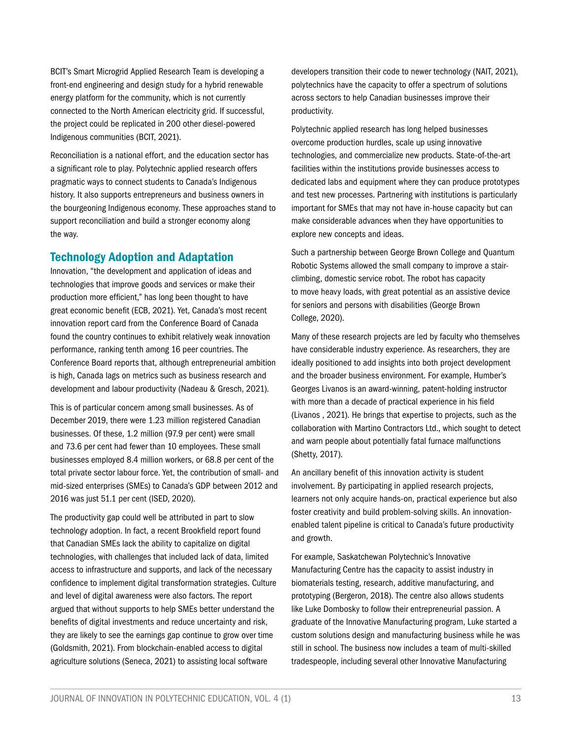BCIT's Smart Microgrid Applied Research Team is developing a front-end engineering and design study for a hybrid renewable energy platform for the community, which is not currently connected to the North American electricity grid. If successful, the project could be replicated in 200 other diesel-powered Indigenous communities (BCIT, 2021).

Reconciliation is a national effort, and the education sector has a significant role to play. Polytechnic applied research offers pragmatic ways to connect students to Canada's Indigenous history. It also supports entrepreneurs and business owners in the bourgeoning Indigenous economy. These approaches stand to support reconciliation and build a stronger economy along the way.

# Technology Adoption and Adaptation

Innovation, "the development and application of ideas and technologies that improve goods and services or make their production more efficient," has long been thought to have great economic benefit (ECB, 2021). Yet, Canada's most recent innovation report card from the Conference Board of Canada found the country continues to exhibit relatively weak innovation performance, ranking tenth among 16 peer countries. The Conference Board reports that, although entrepreneurial ambition is high, Canada lags on metrics such as business research and development and labour productivity (Nadeau & Gresch, 2021).

This is of particular concern among small businesses. As of December 2019, there were 1.23 million registered Canadian businesses. Of these, 1.2 million (97.9 per cent) were small and 73.6 per cent had fewer than 10 employees. These small businesses employed 8.4 million workers, or 68.8 per cent of the total private sector labour force. Yet, the contribution of small- and mid-sized enterprises (SMEs) to Canada's GDP between 2012 and 2016 was just 51.1 per cent (ISED, 2020).

The productivity gap could well be attributed in part to slow technology adoption. In fact, a recent Brookfield report found that Canadian SMEs lack the ability to capitalize on digital technologies, with challenges that included lack of data, limited access to infrastructure and supports, and lack of the necessary confidence to implement digital transformation strategies. Culture and level of digital awareness were also factors. The report argued that without supports to help SMEs better understand the benefits of digital investments and reduce uncertainty and risk, they are likely to see the earnings gap continue to grow over time (Goldsmith, 2021). From blockchain-enabled access to digital agriculture solutions (Seneca, 2021) to assisting local software

developers transition their code to newer technology (NAIT, 2021), polytechnics have the capacity to offer a spectrum of solutions across sectors to help Canadian businesses improve their productivity.

Polytechnic applied research has long helped businesses overcome production hurdles, scale up using innovative technologies, and commercialize new products. State-of-the-art facilities within the institutions provide businesses access to dedicated labs and equipment where they can produce prototypes and test new processes. Partnering with institutions is particularly important for SMEs that may not have in-house capacity but can make considerable advances when they have opportunities to explore new concepts and ideas.

Such a partnership between George Brown College and Quantum Robotic Systems allowed the small company to improve a stairclimbing, domestic service robot. The robot has capacity to move heavy loads, with great potential as an assistive device for seniors and persons with disabilities (George Brown College, 2020).

Many of these research projects are led by faculty who themselves have considerable industry experience. As researchers, they are ideally positioned to add insights into both project development and the broader business environment. For example, Humber's Georges Livanos is an award-winning, patent-holding instructor with more than a decade of practical experience in his field (Livanos , 2021). He brings that expertise to projects, such as the collaboration with Martino Contractors Ltd., which sought to detect and warn people about potentially fatal furnace malfunctions (Shetty, 2017).

An ancillary benefit of this innovation activity is student involvement. By participating in applied research projects, learners not only acquire hands-on, practical experience but also foster creativity and build problem-solving skills. An innovationenabled talent pipeline is critical to Canada's future productivity and growth.

For example, Saskatchewan Polytechnic's Innovative Manufacturing Centre has the capacity to assist industry in biomaterials testing, research, additive manufacturing, and prototyping (Bergeron, 2018). The centre also allows students like Luke Dombosky to follow their entrepreneurial passion. A graduate of the Innovative Manufacturing program, Luke started a custom solutions design and manufacturing business while he was still in school. The business now includes a team of multi-skilled tradespeople, including several other Innovative Manufacturing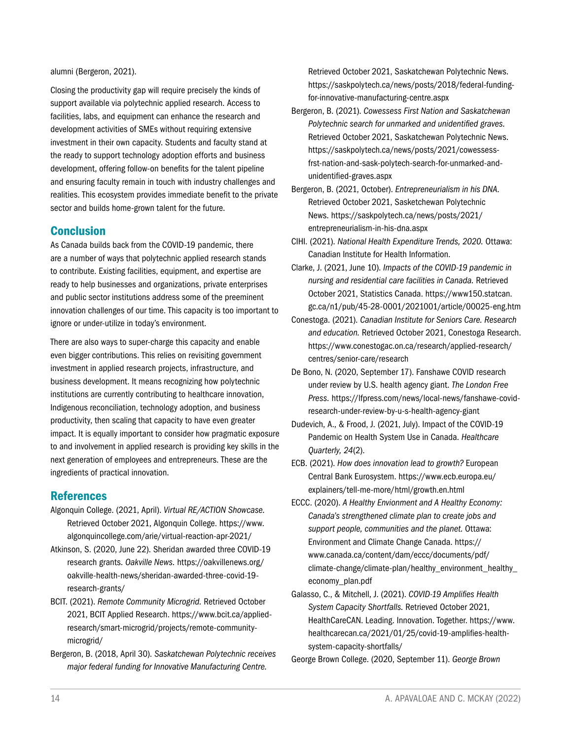alumni (Bergeron, 2021).

Closing the productivity gap will require precisely the kinds of support available via polytechnic applied research. Access to facilities, labs, and equipment can enhance the research and development activities of SMEs without requiring extensive investment in their own capacity. Students and faculty stand at the ready to support technology adoption efforts and business development, offering follow-on benefits for the talent pipeline and ensuring faculty remain in touch with industry challenges and realities. This ecosystem provides immediate benefit to the private sector and builds home-grown talent for the future.

# **Conclusion**

As Canada builds back from the COVID-19 pandemic, there are a number of ways that polytechnic applied research stands to contribute. Existing facilities, equipment, and expertise are ready to help businesses and organizations, private enterprises and public sector institutions address some of the preeminent innovation challenges of our time. This capacity is too important to ignore or under-utilize in today's environment.

There are also ways to super-charge this capacity and enable even bigger contributions. This relies on revisiting government investment in applied research projects, infrastructure, and business development. It means recognizing how polytechnic institutions are currently contributing to healthcare innovation, Indigenous reconciliation, technology adoption, and business productivity, then scaling that capacity to have even greater impact. It is equally important to consider how pragmatic exposure to and involvement in applied research is providing key skills in the next generation of employees and entrepreneurs. These are the ingredients of practical innovation.

# References

- Algonquin College. (2021, April). *Virtual RE/ACTION Showcase.*  Retrieved October 2021, Algonquin College. https://www. algonquincollege.com/arie/virtual-reaction-apr-2021/
- Atkinson, S. (2020, June 22). Sheridan awarded three COVID-19 research grants. *Oakville News.* https://oakvillenews.org/ oakville-health-news/sheridan-awarded-three-covid-19 research-grants/
- BCIT. (2021). *Remote Community Microgrid.* Retrieved October 2021, BCIT Applied Research. https://www.bcit.ca/appliedresearch/smart-microgrid/projects/remote-communitymicrogrid/
- Bergeron, B. (2018, April 30). *Saskatchewan Polytechnic receives major federal funding for Innovative Manufacturing Centre.*

Retrieved October 2021, Saskatchewan Polytechnic News. https://saskpolytech.ca/news/posts/2018/federal-fundingfor-innovative-manufacturing-centre.aspx

- Bergeron, B. (2021). *Cowessess First Nation and Saskatchewan Polytechnic search for unmarked and unidentified graves.*  Retrieved October 2021, Saskatchewan Polytechnic News. https://saskpolytech.ca/news/posts/2021/cowessessfrst-nation-and-sask-polytech-search-for-unmarked-andunidentified-graves.aspx
- Bergeron, B. (2021, October). *Entrepreneurialism in his DNA.*  Retrieved October 2021, Sasketchewan Polytechnic News. https://saskpolytech.ca/news/posts/2021/ entrepreneurialism-in-his-dna.aspx
- CIHI. (2021). *National Health Expenditure Trends, 2020.* Ottawa: Canadian Institute for Health Information.
- Clarke, J. (2021, June 10). *Impacts of the COVID-19 pandemic in nursing and residential care facilities in Canada.* Retrieved October 2021, Statistics Canada. https://www150.statcan. gc.ca/n1/pub/45-28-0001/2021001/article/00025-eng.htm
- Conestoga. (2021). *Canadian Institute for Seniors Care. Research and education.* Retrieved October 2021, Conestoga Research. https://www.conestogac.on.ca/research/applied-research/ centres/senior-care/research
- De Bono, N. (2020, September 17). Fanshawe COVID research under review by U.S. health agency giant. *The London Free Press.* https://lfpress.com/news/local-news/fanshawe-covidresearch-under-review-by-u-s-health-agency-giant
- Dudevich, A., & Frood, J. (2021, July). Impact of the COVID-19 Pandemic on Health System Use in Canada. *Healthcare Quarterly, 24*(2).
- ECB. (2021). *How does innovation lead to growth?* European Central Bank Eurosystem. https://www.ecb.europa.eu/ explainers/tell-me-more/html/growth.en.html
- ECCC. (2020). *A Healthy Envionment and A Healthy Economy: Canada's strengthened climate plan to create jobs and support people, communities and the planet.* Ottawa: Environment and Climate Change Canada. https:// www.canada.ca/content/dam/eccc/documents/pdf/ climate-change/climate-plan/healthy\_environment\_healthy\_ economy\_plan.pdf
- Galasso, C., & Mitchell, J. (2021). *COVID-19 Amplifies Health System Capacity Shortfalls.* Retrieved October 2021, HealthCareCAN. Leading. Innovation. Together. https://www. healthcarecan.ca/2021/01/25/covid-19-amplifies-healthsystem-capacity-shortfalls/

George Brown College. (2020, September 11). *George Brown*